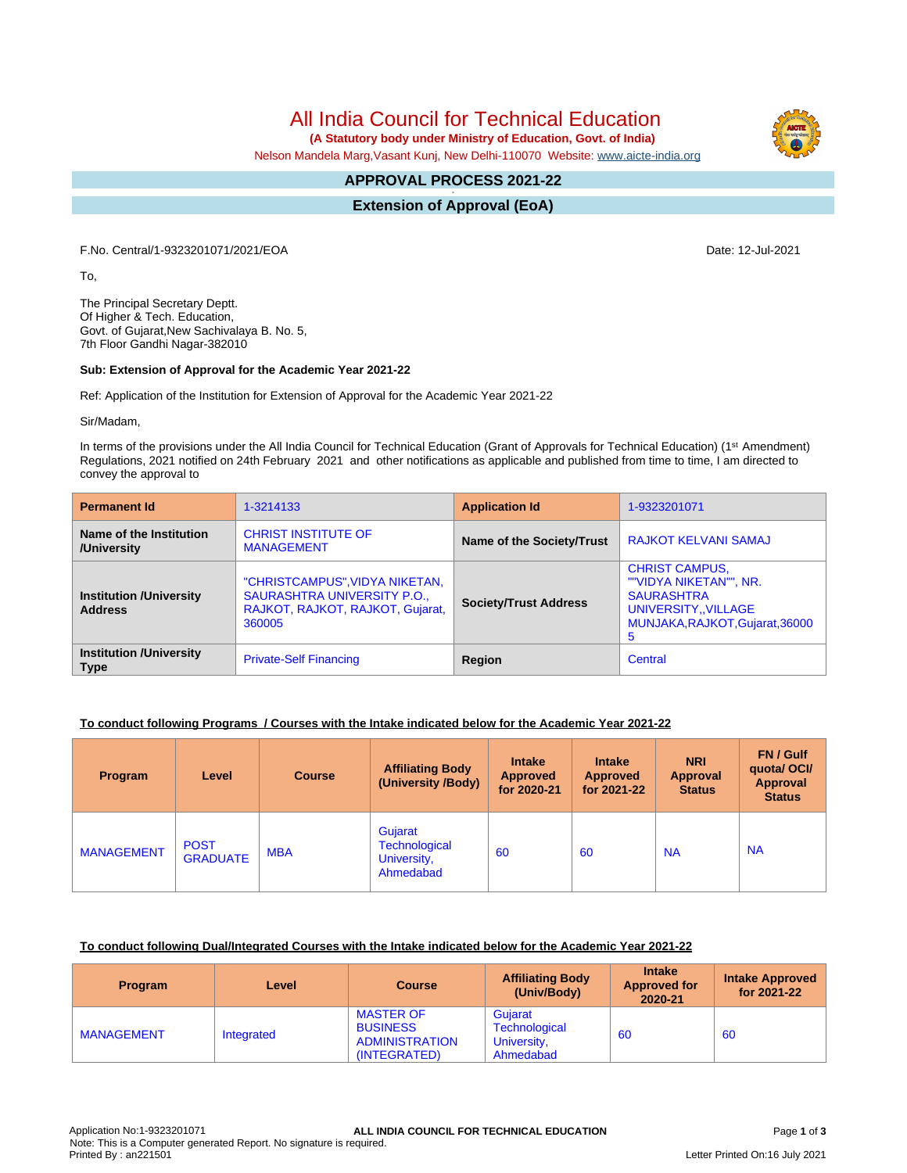All India Council for Technical Education

 **(A Statutory body under Ministry of Education, Govt. of India)**

Nelson Mandela Marg,Vasant Kunj, New Delhi-110070 Website: [www.aicte-india.org](http://www.aicte-india.org)

#### **APPROVAL PROCESS 2021-22 -**

**Extension of Approval (EoA)**

F.No. Central/1-9323201071/2021/EOA Date: 12-Jul-2021

To,

The Principal Secretary Deptt. Of Higher & Tech. Education, Govt. of Gujarat,New Sachivalaya B. No. 5, 7th Floor Gandhi Nagar-382010

## **Sub: Extension of Approval for the Academic Year 2021-22**

Ref: Application of the Institution for Extension of Approval for the Academic Year 2021-22

Sir/Madam,

In terms of the provisions under the All India Council for Technical Education (Grant of Approvals for Technical Education) (1<sup>st</sup> Amendment) Regulations, 2021 notified on 24th February 2021 and other notifications as applicable and published from time to time, I am directed to convey the approval to

| <b>Permanent Id</b>                              | 1-3214133                                                                                                   | <b>Application Id</b>     | 1-9323201071                                                                                                                        |  |
|--------------------------------------------------|-------------------------------------------------------------------------------------------------------------|---------------------------|-------------------------------------------------------------------------------------------------------------------------------------|--|
| Name of the Institution<br>/University           | <b>CHRIST INSTITUTE OF</b><br><b>MANAGEMENT</b>                                                             | Name of the Society/Trust | <b>RAJKOT KELVANI SAMAJ</b>                                                                                                         |  |
| <b>Institution /University</b><br><b>Address</b> | "CHRISTCAMPUS", VIDYA NIKETAN,<br>SAURASHTRA UNIVERSITY P.O.,<br>RAJKOT, RAJKOT, RAJKOT, Gujarat,<br>360005 |                           | <b>CHRIST CAMPUS,</b><br>""VIDYA NIKETAN"", NR.<br><b>SAURASHTRA</b><br>UNIVERSITY, VILLAGE<br>MUNJAKA, RAJKOT, Gujarat, 36000<br>5 |  |
| <b>Institution /University</b><br><b>Type</b>    | <b>Private-Self Financing</b>                                                                               | Region                    | Central                                                                                                                             |  |

## **To conduct following Programs / Courses with the Intake indicated below for the Academic Year 2021-22**

| Program           | Level                          | <b>Course</b> | <b>Affiliating Body</b><br>(University /Body)               | <b>Intake</b><br><b>Approved</b><br>for 2020-21 | <b>Intake</b><br><b>Approved</b><br>for 2021-22 | <b>NRI</b><br>Approval<br><b>Status</b> | FN / Gulf<br>quotal OCI/<br>Approval<br><b>Status</b> |
|-------------------|--------------------------------|---------------|-------------------------------------------------------------|-------------------------------------------------|-------------------------------------------------|-----------------------------------------|-------------------------------------------------------|
| <b>MANAGEMENT</b> | <b>POST</b><br><b>GRADUATE</b> | <b>MBA</b>    | Gujarat<br><b>Technological</b><br>University,<br>Ahmedabad | 60                                              | 60                                              | <b>NA</b>                               | <b>NA</b>                                             |

## **To conduct following Dual/Integrated Courses with the Intake indicated below for the Academic Year 2021-22**

| <b>Program</b>    | Level      | <b>Course</b>                                                                | <b>Affiliating Body</b><br>(Univ/Body)               | <b>Intake</b><br><b>Approved for</b><br>2020-21 | <b>Intake Approved</b><br>for 2021-22 |
|-------------------|------------|------------------------------------------------------------------------------|------------------------------------------------------|-------------------------------------------------|---------------------------------------|
| <b>MANAGEMENT</b> | Integrated | <b>MASTER OF</b><br><b>BUSINESS</b><br><b>ADMINISTRATION</b><br>(INTEGRATED) | Gujarat<br>Technological<br>University,<br>Ahmedabad | 60                                              | 60                                    |

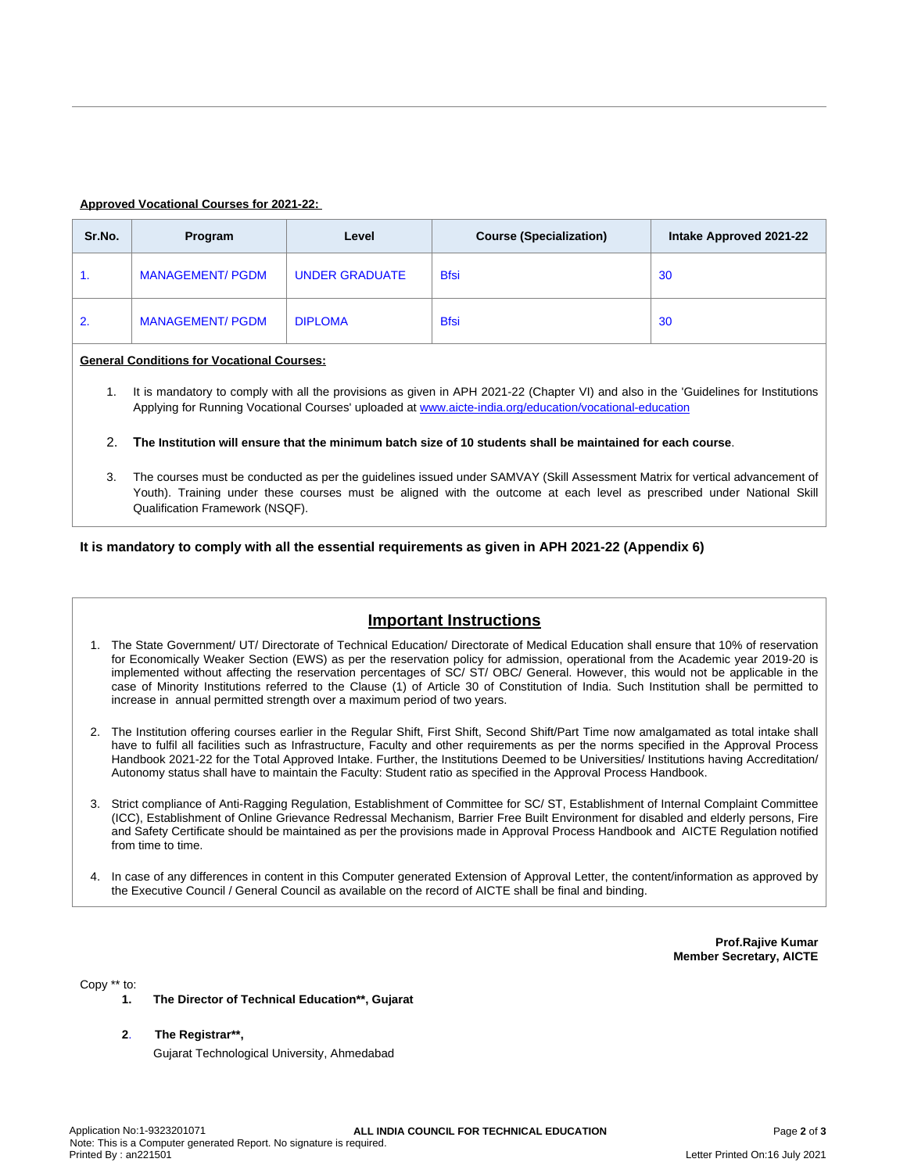### **Approved Vocational Courses for 2021-22:**

| Sr.No.                                            | Program                 | Level                 | <b>Course (Specialization)</b> | Intake Approved 2021-22 |  |
|---------------------------------------------------|-------------------------|-----------------------|--------------------------------|-------------------------|--|
| 1.                                                | <b>MANAGEMENT/ PGDM</b> | <b>UNDER GRADUATE</b> | <b>Bfsi</b>                    | 30                      |  |
| 2.                                                | <b>MANAGEMENT/ PGDM</b> | <b>DIPLOMA</b>        | <b>Bfsi</b>                    | 30                      |  |
| <b>General Conditions for Vocational Courses:</b> |                         |                       |                                |                         |  |

1. It is mandatory to comply with all the provisions as given in APH 2021-22 (Chapter VI) and also in the 'Guidelines for Institutions Applying for Running Vocational Courses' uploaded at [www.aicte-india.org/education/vocational-education](https://www.aicte-india.org/education/vocational-education)

2. The Institution will ensure that the minimum batch size of 10 students shall be maintained for each course.

3. The courses must be conducted as per the guidelines issued under SAMVAY (Skill Assessment Matrix for vertical advancement of Youth). Training under these courses must be aligned with the outcome at each level as prescribed under National Skill Qualification Framework (NSQF).

**It is mandatory to comply with all the essential requirements as given in APH 2021-22 (Appendix 6)**

# **Important Instructions**

- 1. The State Government/ UT/ Directorate of Technical Education/ Directorate of Medical Education shall ensure that 10% of reservation for Economically Weaker Section (EWS) as per the reservation policy for admission, operational from the Academic year 2019-20 is implemented without affecting the reservation percentages of SC/ ST/ OBC/ General. However, this would not be applicable in the case of Minority Institutions referred to the Clause (1) of Article 30 of Constitution of India. Such Institution shall be permitted to increase in annual permitted strength over a maximum period of two years.
- 2. The Institution offering courses earlier in the Regular Shift, First Shift, Second Shift/Part Time now amalgamated as total intake shall have to fulfil all facilities such as Infrastructure, Faculty and other requirements as per the norms specified in the Approval Process Handbook 2021-22 for the Total Approved Intake. Further, the Institutions Deemed to be Universities/ Institutions having Accreditation/ Autonomy status shall have to maintain the Faculty: Student ratio as specified in the Approval Process Handbook.
- 3. Strict compliance of Anti-Ragging Regulation, Establishment of Committee for SC/ ST, Establishment of Internal Complaint Committee (ICC), Establishment of Online Grievance Redressal Mechanism, Barrier Free Built Environment for disabled and elderly persons, Fire and Safety Certificate should be maintained as per the provisions made in Approval Process Handbook and AICTE Regulation notified from time to time.
- 4. In case of any differences in content in this Computer generated Extension of Approval Letter, the content/information as approved by the Executive Council / General Council as available on the record of AICTE shall be final and binding.

**Prof.Rajive Kumar Member Secretary, AICTE**

Copy \*\* to:

- **1. The Director of Technical Education\*\*, Gujarat**
- **2**. **The Registrar\*\*,**

Gujarat Technological University, Ahmedabad